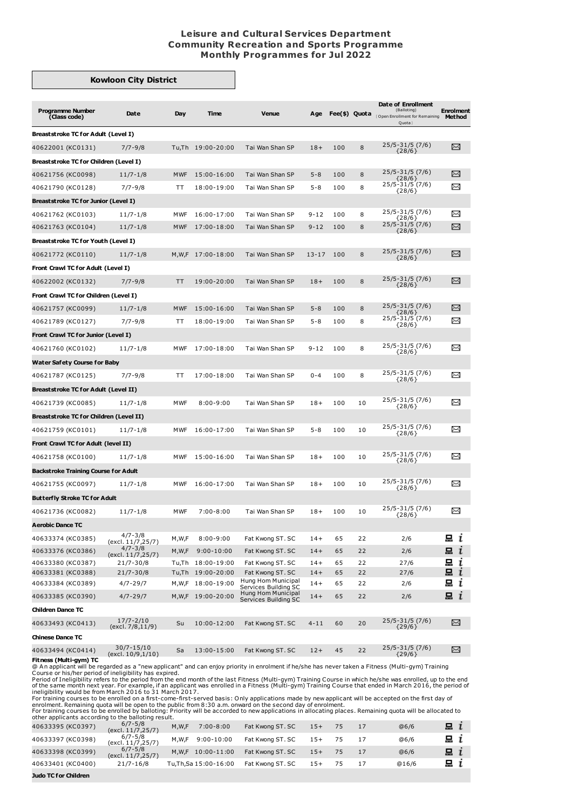## **Leisure and Cultural Services Department Community Recreation and Sports Programme Monthly Programmes for Jul 2022**

## **Kowloon City District**

| <b>Programme Number</b><br>(Class code)     | Date                                | Day        | Time                | <b>Venue</b>                               | Age      |     | Fee(\$) Quota | Date of Enrollment<br>(Balloting)<br>(Open Enrollment for Remaining<br>Quota | <b>Enrolment</b><br>Method |
|---------------------------------------------|-------------------------------------|------------|---------------------|--------------------------------------------|----------|-----|---------------|------------------------------------------------------------------------------|----------------------------|
| <b>Breaststroke TC for Adult (Level I)</b>  |                                     |            |                     |                                            |          |     |               |                                                                              |                            |
| 40622001 (KC0131)                           | $7/7 - 9/8$                         |            | Tu,Th 19:00-20:00   | Tai Wan Shan SP                            | $18+$    | 100 | 8             | $25/5 - 31/5$ (7/6)<br>${28/6}$                                              | X                          |
| Breaststroke TC for Children (Level I)      |                                     |            |                     |                                            |          |     |               |                                                                              |                            |
| 40621756 (KC0098)                           | $11/7 - 1/8$                        | <b>MWF</b> | 15:00-16:00         | Tai Wan Shan SP                            | $5 - 8$  | 100 | 8             | $25/5 - 31/5$ (7/6)                                                          | X                          |
| 40621790 (KC0128)                           | $7/7 - 9/8$                         | TT         | 18:00-19:00         | Tai Wan Shan SP                            | $5 - 8$  | 100 | 8             | $\{28/6\}$<br>25/5-31/5 (7/6)                                                | χ                          |
| Breaststroke TC for Junior (Level I)        |                                     |            |                     |                                            |          |     |               | ${28/6}$                                                                     |                            |
| 40621762 (KC0103)                           | $11/7 - 1/8$                        | <b>MWF</b> | 16:00-17:00         | Tai Wan Shan SP                            | $9 - 12$ | 100 | 8             | 25/5-31/5 (7/6)                                                              | ∝                          |
| 40621763 (KC0104)                           | $11/7 - 1/8$                        | <b>MWF</b> | 17:00-18:00         | Tai Wan Shan SP                            | $9 - 12$ | 100 | 8             | {28/6}<br>$25/5 - 31/5$ (7/6)                                                | X                          |
| Breaststroke TC for Youth (Level I)         |                                     |            |                     |                                            |          |     |               | ${28/6}$                                                                     |                            |
|                                             |                                     |            |                     |                                            |          |     |               | 25/5-31/5 (7/6)                                                              | $\Join$                    |
| 40621772 (KC0110)                           | $11/7 - 1/8$                        |            | M,W,F 17:00-18:00   | Tai Wan Shan SP                            | 13-17    | 100 | 8             | ${28/6}$                                                                     |                            |
| Front Crawl TC for Adult (Level I)          |                                     |            |                     |                                            |          |     |               | 25/5-31/5 (7/6)                                                              |                            |
| 40622002 (KC0132)                           | $7/7 - 9/8$                         | TT         | 19:00-20:00         | Tai Wan Shan SP                            | $18+$    | 100 | 8             | ${28/6}$                                                                     | X                          |
| Front Crawl TC for Children (Level I)       |                                     |            |                     |                                            |          |     |               |                                                                              |                            |
| 40621757 (KC0099)                           | $11/7 - 1/8$                        | <b>MWF</b> | 15:00-16:00         | Tai Wan Shan SP                            | $5 - 8$  | 100 | 8             | 25/5-31/5 (7/6)<br>${28/6}$                                                  | X                          |
| 40621789 (KC0127)                           | $7/7 - 9/8$                         | ТT         | 18:00-19:00         | Tai Wan Shan SP                            | $5 - 8$  | 100 | 8             | 25/5-31/5 (7/6)<br>${28/6}$                                                  | ≻≺                         |
| Front Crawl TC for Junior (Level I)         |                                     |            |                     |                                            |          |     |               |                                                                              |                            |
| 40621760 (KC0102)                           | $11/7 - 1/8$                        | MWF        | 17:00-18:00         | Tai Wan Shan SP                            | 9-12     | 100 | 8             | 25/5-31/5 (7/6)<br>${28/6}$                                                  | $\Join$                    |
| <b>Water Safety Course for Baby</b>         |                                     |            |                     |                                            |          |     |               |                                                                              |                            |
| 40621787 (KC0125)                           | $7/7 - 9/8$                         | TT         | 17:00-18:00         | Tai Wan Shan SP                            | $0 - 4$  | 100 | 8             | $25/5 - 31/5$ (7/6)                                                          | ∝                          |
| <b>Breaststroke TC for Adult (Level II)</b> |                                     |            |                     |                                            |          |     |               | ${28/6}$                                                                     |                            |
| 40621739 (KC0085)                           | $11/7 - 1/8$                        | <b>MWF</b> | $8:00 - 9:00$       | Tai Wan Shan SP                            | $18+$    | 100 | 10            | 25/5-31/5 (7/6)                                                              | ∼                          |
|                                             |                                     |            |                     |                                            |          |     |               | ${28/6}$                                                                     |                            |
| Breaststroke TC for Children (Level II)     |                                     |            |                     |                                            |          |     |               | 25/5-31/5 (7/6)                                                              |                            |
| 40621759 (KC0101)                           | $11/7 - 1/8$                        | <b>MWF</b> | 16:00-17:00         | Tai Wan Shan SP                            | $5 - 8$  | 100 | 10            | ${28/6}$                                                                     | χ                          |
| Front Crawl TC for Adult (level II)         |                                     |            |                     |                                            |          |     |               |                                                                              |                            |
| 40621758 (KC0100)                           | $11/7 - 1/8$                        | <b>MWF</b> | 15:00-16:00         | Tai Wan Shan SP                            | $18+$    | 100 | 10            | 25/5-31/5 (7/6)<br>{28/6}                                                    | ∝                          |
| <b>Backstroke Training Course for Adult</b> |                                     |            |                     |                                            |          |     |               |                                                                              |                            |
| 40621755 (KC0097)                           | $11/7 - 1/8$                        | MWF        | 16:00-17:00         | Tai Wan Shan SP                            | $18+$    | 100 | 10            | 25/5-31/5 (7/6)<br>${28/6}$                                                  | ∝                          |
| <b>Butterfly Stroke TC for Adult</b>        |                                     |            |                     |                                            |          |     |               |                                                                              |                            |
| 40621736 (KC0082)                           | $11/7 - 1/8$                        | <b>MWF</b> | $7:00 - 8:00$       | Tai Wan Shan SP                            | $18+$    | 100 | 10            | 25/5-31/5 (7/6)<br>${28/6}$                                                  | $\Join$                    |
| Aerobic Dance TC                            |                                     |            |                     |                                            |          |     |               |                                                                              |                            |
| 40633374 (KC0385)                           | 4/7-3/8                             | M,W,F      | $8:00 - 9:00$       | Fat Kwong ST. SC                           | $14+$    | 65  | 22            | 2/6                                                                          | 묘 i                        |
| 40633376 (KC0386)                           | (excl. 11/7,25/7)<br>4/7-3/8        | M, W, F    | $9:00 - 10:00$      | Fat Kwong ST. SC                           | $14+$    | 65  | 22            | 2/6                                                                          | 묘 $i$                      |
| 40633380 (KC0387)                           | (excl. 11/7, 25/7)<br>$21/7 - 30/8$ |            | Tu,Th 18:00-19:00   | Fat Kwong ST. SC                           | $14+$    | 65  | 22            | 27/6                                                                         | 묘 i                        |
| 40633381 (KC0388)                           | $21/7 - 30/8$                       |            | Tu,Th 19:00-20:00   | Fat Kwong ST. SC                           | $14+$    | 65  | 22            | 27/6                                                                         | 묘 ા                        |
| 40633384 (KC0389)                           | $4/7 - 29/7$                        |            | M, W, F 18:00-19:00 | Hung Hom Municipal<br>Services Building SC | $14+$    | 65  | 22            | 2/6                                                                          | 묘 i                        |
| 40633385 (KC0390)                           | $4/7 - 29/7$                        |            | M,W,F 19:00-20:00   | Hung Hom Municipal<br>Services Building SC | $14+$    | 65  | 22            | 2/6                                                                          | $\Xi$ $i$                  |
| <b>Children Dance TC</b>                    |                                     |            |                     |                                            |          |     |               |                                                                              |                            |
| 40633493 (KC0413)                           | $17/7 - 2/10$<br>(excl. 7/8,11/9)   | Su         | 10:00-12:00         | Fat Kwong ST. SC                           | $4 - 11$ | 60  | 20            | 25/5-31/5 (7/6)<br>${29/6}$                                                  | X                          |
| <b>Chinese Dance TC</b>                     |                                     |            |                     |                                            |          |     |               |                                                                              |                            |
| 40633494 (KC0414)                           | 30/7-15/10<br>(excl. 10/9,1/10)     | Sa         | 13:00-15:00         | Fat Kwong ST. SC                           | $12+$    | 45  | 22            | 25/5-31/5 (7/6)<br>${29/6}$                                                  | X                          |

40633494 (KC0414)  ${}^{30/7-15/10}$  Sa 13:00-15:00 Fat Kwong ST. SC 12+ 45 22  ${}^{25/5-31/5}$  (7/6)  $\simeq$ <br>
Fitness (Multi-gym) TC<br>
@ An applicant will be regarded as a "new applicant" and can enjoy priority in enrolment if h

|                   | (excl. 11/7, 25/7)               | . . <i>, ,</i> .        | 1.93111931.900   |       |  | $\sim$ $\sim$ $\sim$ | . .       |  |
|-------------------|----------------------------------|-------------------------|------------------|-------|--|----------------------|-----------|--|
| 40633397 (KC0398) | $6/7 - 5/8$<br>(excl. 11/7,25/7) | $9:00 - 10:00$<br>M.W.F | Fat Kwong ST, SC |       |  | @6/6                 | $\Xi$ $i$ |  |
| 40633398 (KC0399) | $6/7 - 5/8$<br>(excl. 11/7,25/7) | M.W.F 10:00-11:00       | Fat Kwong ST, SC | $15+$ |  | @6/6                 | 묘 $i$     |  |
| 40633401 (KC0400) | $21/7 - 16/8$                    | Tu, Th, Sa 15:00-16:00  | Fat Kwong ST, SC | $15+$ |  | @16/6                | $\Xi$ i   |  |
|                   |                                  |                         |                  |       |  |                      |           |  |

**Judo TC for Children**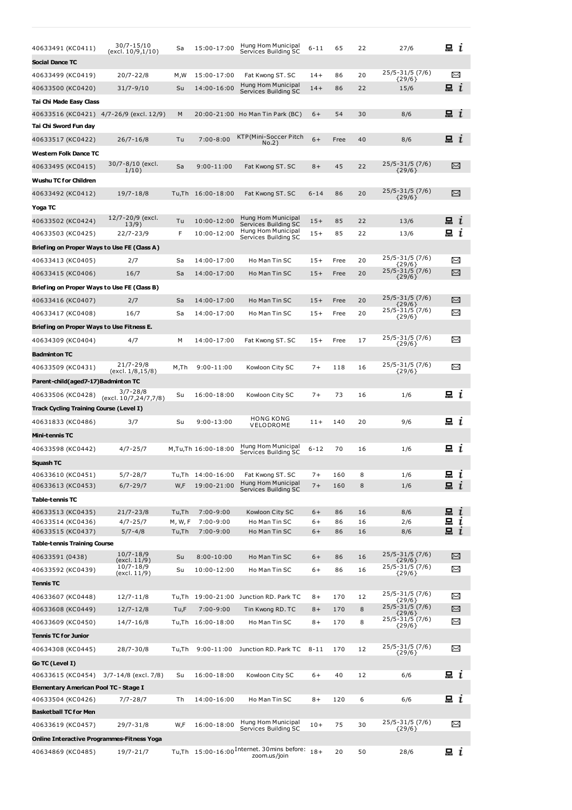| 40633491 (KC0411)                                                    | 30/7-15/10                    | Sa      | 15:00-17:00                      | Hung Hom Municipal                                                     | $6 - 11$     | 65         | 22     | 27/6                        | i                  |
|----------------------------------------------------------------------|-------------------------------|---------|----------------------------------|------------------------------------------------------------------------|--------------|------------|--------|-----------------------------|--------------------|
| Social Dance TC                                                      | (excl. 10/9,1/10)             |         |                                  | Services Building SC                                                   |              |            |        |                             |                    |
| 40633499 (KC0419)                                                    | $20/7 - 22/8$                 | M,W     | 15:00-17:00                      | Fat Kwong ST. SC                                                       | $14+$        | 86         | 20     | 25/5-31/5 (7/6)             | X                  |
| 40633500 (KC0420)                                                    | $31/7 - 9/10$                 | Su      | 14:00-16:00                      | Hung Hom Municipal                                                     | $14+$        | 86         | 22     | $\{29/6\}$<br>15/6          | 묘 $i$              |
|                                                                      |                               |         |                                  | Services Building SC                                                   |              |            |        |                             |                    |
| Tai Chi Made Easy Class<br>40633516 (KC0421)   4/7-26/9 (excl. 12/9) |                               | M       |                                  | 20:00-21:00 Ho Man Tin Park (BC)                                       | $6+$         | 54         | 30     | 8/6                         | $\Xi$ $i$          |
| Tai Chi Sword Fun day                                                |                               |         |                                  |                                                                        |              |            |        |                             |                    |
| 40633517 (KC0422)                                                    | $26/7 - 16/8$                 | Tu      | $7:00 - 8:00$                    | KTP(Mini-Soccer Pitch                                                  | $6+$         | Free       | 40     | 8/6                         | 品 <i>ι</i>         |
| Western Folk Dance TC                                                |                               |         |                                  | No.2)                                                                  |              |            |        |                             |                    |
| 40633495 (KC0415)                                                    | 30/7-8/10 (excl.              | Sa      | $9:00 - 11:00$                   |                                                                        | $8+$         | 45         | 22     | 25/5-31/5 (7/6)             | X                  |
|                                                                      | 1/10)                         |         |                                  | Fat Kwong ST. SC                                                       |              |            |        | ${29/6}$                    |                    |
| Wushu TC for Children                                                |                               |         |                                  |                                                                        |              |            |        | 25/5-31/5 (7/6)             |                    |
| 40633492 (KC0412)                                                    | $19/7 - 18/8$                 |         | Tu,Th 16:00-18:00                | Fat Kwong ST. SC                                                       | $6 - 14$     | 86         | 20     | ${29/6}$                    | X                  |
| Yoga TC                                                              |                               |         |                                  |                                                                        |              |            |        |                             |                    |
| 40633502 (KC0424)                                                    | 12/7-20/9 (excl.<br>13/9)     | Tu      | 10:00-12:00                      | Hung Hom Municipal<br>Services Building SC                             | $15+$        | 85         | 22     | 13/6                        | 品 <i>ι</i>         |
| 40633503 (KC0425)                                                    | $22/7 - 23/9$                 | F       | 10:00-12:00                      | Hung Hom Municipal<br>Services Building SC                             | $15+$        | 85         | 22     | 13/6                        | 묘<br>ı             |
| Briefing on Proper Ways to Use FE (Class A)                          |                               |         |                                  |                                                                        |              |            |        |                             |                    |
| 40633413 (KC0405)                                                    | 2/7                           | Sa      | 14:00-17:00                      | Ho Man Tin SC                                                          | $15+$        | Free       | 20     | 25/5-31/5 (7/6)<br>${29/6}$ | $\Join$            |
| 40633415 (KC0406)                                                    | 16/7                          | Sa      | 14:00-17:00                      | Ho Man Tin SC                                                          | $15+$        | Free       | 20     | 25/5-31/5 (7/6)<br>${29/6}$ | X                  |
| Briefing on Proper Ways to Use FE (Class B)                          |                               |         |                                  |                                                                        |              |            |        |                             |                    |
| 40633416 (KC0407)                                                    | 2/7                           | Sa      | 14:00-17:00                      | Ho Man Tin SC                                                          | $15+$        | Free       | 20     | 25/5-31/5 (7/6)<br>${29/6}$ | X                  |
| 40633417 (KC0408)                                                    | 16/7                          | Sa      | 14:00-17:00                      | Ho Man Tin SC                                                          | $15+$        | Free       | 20     | 25/5-31/5 (7/6)<br>${29/6}$ | X                  |
| Briefing on Proper Ways to Use Fitness E.                            |                               |         |                                  |                                                                        |              |            |        |                             |                    |
| 40634309 (KC0404)                                                    | 4/7                           | М       | 14:00-17:00                      | Fat Kwong ST. SC                                                       | $15+$        | Free       | 17     | 25/5-31/5 (7/6)<br>${29/6}$ | X                  |
| <b>Badminton TC</b>                                                  |                               |         |                                  |                                                                        |              |            |        |                             |                    |
| 40633509 (KC0431)                                                    | 21/7-29/8                     | M,Th    | 9:00-11:00                       | Kowloon City SC                                                        | $7+$         | 118        | 16     | 25/5-31/5 (7/6)             | $\Join$            |
| Parent-child(aged7-17)Badminton TC                                   | (excl. 1/8,15/8)              |         |                                  |                                                                        |              |            |        | ${29/6}$                    |                    |
| 40633506 (KC0428)                                                    | 3/7-28/8                      | Su      | 16:00-18:00                      | Kowloon City SC                                                        | $7+$         | 73         | 16     | 1/6                         | $\mathbf{a}$ i     |
| Track Cycling Training Course (Level I)                              | (excl. 10/7,24/7,7/8)         |         |                                  |                                                                        |              |            |        |                             |                    |
| 40631833 (KC0486)                                                    | 3/7                           | Su      | $9:00 - 13:00$                   | <b>HONG KONG</b>                                                       | $11+$        | 140        | 20     | 9/6                         | e i                |
| Mini-tennis TC                                                       |                               |         |                                  | VELODROME                                                              |              |            |        |                             |                    |
|                                                                      | $4/7 - 25/7$                  |         | M,Tu,Th 16:00-18:00              | Hung Hom Municipal                                                     | $6 - 12$     | 70         | 16     | 1/6                         | 品 <i>ι</i>         |
| 40633598 (KC0442)                                                    |                               |         |                                  | Services Building SC                                                   |              |            |        |                             |                    |
| Squash TC                                                            |                               |         |                                  |                                                                        |              |            |        |                             |                    |
| 40633610 (KC0451)<br>40633613 (KC0453)                               | $5/7 - 28/7$<br>$6/7 - 29/7$  | W,F     | Tu,Th 14:00-16:00<br>19:00-21:00 | Fat Kwong ST. SC<br>Hung Hom Municipal                                 | $7+$<br>$7+$ | 160<br>160 | 8<br>8 | 1/6<br>1/6                  | 昷ι<br>묘 $i$        |
| Table-tennis TC                                                      |                               |         |                                  | Services Building SC                                                   |              |            |        |                             |                    |
| 40633513 (KC0435)                                                    | $21/7 - 23/8$                 | Tu,Th   | $7:00 - 9:00$                    | Kowloon City SC                                                        | $6+$         | 86         | 16     | 8/6                         | 묘 $i$              |
| 40633514 (KC0436)                                                    | $4/7 - 25/7$                  | M, W, F | $7:00 - 9:00$                    | Ho Man Tin SC                                                          | $6+$         | 86         | 16     | 2/6                         | $\blacksquare$ $i$ |
| 40633515 (KC0437)                                                    | $5/7 - 4/8$                   | Tu,Th   | 7:00-9:00                        | Ho Man Tin SC                                                          | $6+$         | 86         | 16     | 8/6                         | $\mathbf{a}$ i     |
| Table-tennis Training Course                                         |                               |         |                                  |                                                                        |              |            |        |                             |                    |
| 40633591 (0438)                                                      | $10/7 - 18/9$<br>(excl. 11/9) | Su      | $8:00 - 10:00$                   | Ho Man Tin SC                                                          | $6+$         | 86         | 16     | 25/5-31/5 (7/6)<br>${29/6}$ | X                  |
| 40633592 (KC0439)                                                    | 10/7-18/9<br>(excl. 11/9)     | Su      | 10:00-12:00                      | Ho Man Tin SC                                                          | $6+$         | 86         | 16     | 25/5-31/5 (7/6)<br>${29/6}$ | X                  |
| Tennis TC                                                            |                               |         |                                  |                                                                        |              |            |        |                             |                    |
| 40633607 (KC0448)                                                    | $12/7 - 11/8$                 |         |                                  | Tu,Th 19:00-21:00 Junction RD. Park TC                                 | $8+$         | 170        | 12     | 25/5-31/5 (7/6)<br>${29/6}$ | $\Join$            |
| 40633608 (KC0449)                                                    | $12/7 - 12/8$                 | Tu,F    | $7:00 - 9:00$                    | Tin Kwong RD. TC                                                       | $8+$         | 170        | 8      | 25/5-31/5 (7/6)<br>${29/6}$ | $\asymp$           |
| 40633609 (KC0450)                                                    | $14/7 - 16/8$                 |         | Tu,Th 16:00-18:00                | Ho Man Tin SC                                                          | $8+$         | 170        | 8      | 25/5-31/5 (7/6)<br>${29/6}$ | X                  |
| Tennis TC for Junior                                                 |                               |         |                                  |                                                                        |              |            |        |                             |                    |
| 40634308 (KC0445)                                                    | 28/7-30/8                     | Tu,Th   | $9:00 - 11:00$                   | Junction RD. Park TC                                                   | $8 - 11$     | 170        | 12     | 25/5-31/5 (7/6)<br>${29/6}$ | X                  |
| Go TC (Level I)                                                      |                               |         |                                  |                                                                        |              |            |        |                             |                    |
| 40633615 (KC0454) 3/7-14/8 (excl. 7/8)                               |                               | Su      | 16:00-18:00                      | Kowloon City SC                                                        | $6+$         | 40         | 12     | 6/6                         | ᇤ !                |
| Elementary American Pool TC - Stage I                                |                               |         |                                  |                                                                        |              |            |        |                             |                    |
| 40633504 (KC0426)                                                    | 7/7-28/7                      | Тh      | 14:00-16:00                      | Ho Man Tin SC                                                          | 8+           | 120        | 6      | 6/6                         | $\Box$ $i$         |
| Basketball TC for Men                                                |                               |         |                                  |                                                                        |              |            |        |                             |                    |
| 40633619 (KC0457)                                                    | 29/7-31/8                     | W,F     | 16:00-18:00                      | Hung Hom Municipal<br>Services Building SC                             | $10+$        | 75         | 30     | 25/5-31/5 (7/6)<br>${29/6}$ | ⊠                  |
| Online Interactive Programmes-Fitness Yoga                           |                               |         |                                  |                                                                        |              |            |        |                             |                    |
| 40634869 (KC0485)                                                    | 19/7-21/7                     |         |                                  | Tu,Th 15:00-16:00 <sup>Internet</sup> . 30mins before:<br>zoom.us/join | $18+$        | 20         | 50     | 28/6                        | $\mathbf{a}$ i     |